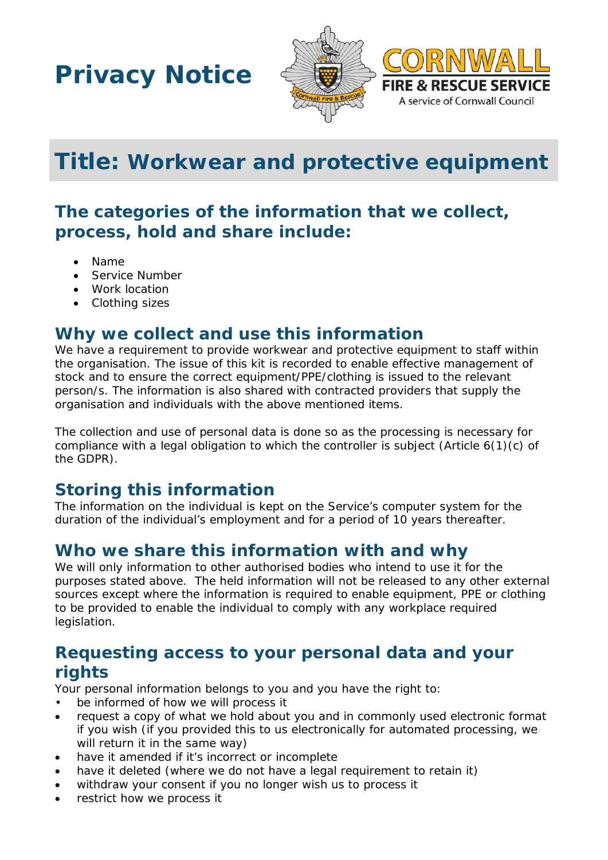**Privacy Notice**





# **Title: Workwear and protective equipment**

## **The categories of the information that we collect, process, hold and share include:**

- Name
- Service Number
- Work location
- Clothing sizes

## **Why we collect and use this information**

We have a requirement to provide workwear and protective equipment to staff within the organisation. The issue of this kit is recorded to enable effective management of stock and to ensure the correct equipment/PPE/clothing is issued to the relevant person/s. The information is also shared with contracted providers that supply the organisation and individuals with the above mentioned items.

The collection and use of personal data is done so as the processing is necessary for compliance with a legal obligation to which the controller is subject (Article 6(1)(c) of the GDPR).

## **Storing this information**

The information on the individual is kept on the Service's computer system for the duration of the individual's employment and for a period of 10 years thereafter.

## **Who we share this information with and why**

We will only information to other authorised bodies who intend to use it for the purposes stated above. The held information will not be released to any other external sources except where the information is required to enable equipment, PPE or clothing to be provided to enable the individual to comply with any workplace required legislation.

## **Requesting access to your personal data and your rights**

Your personal information belongs to you and you have the right to:

- be informed of how we will process it
- request a copy of what we hold about you and in commonly used electronic format if you wish (if you provided this to us electronically for automated processing, we will return it in the same way)
- have it amended if it's incorrect or incomplete
- have it deleted (where we do not have a legal requirement to retain it)
- withdraw your consent if you no longer wish us to process it
- restrict how we process it